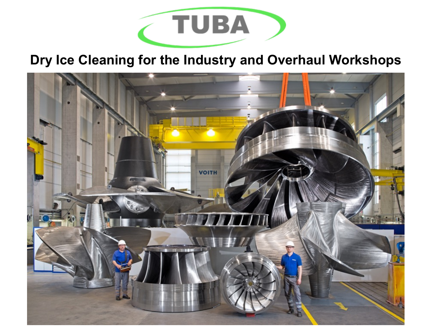

# **Dry Ice Cleaning for the Industry and Overhaul Workshops**

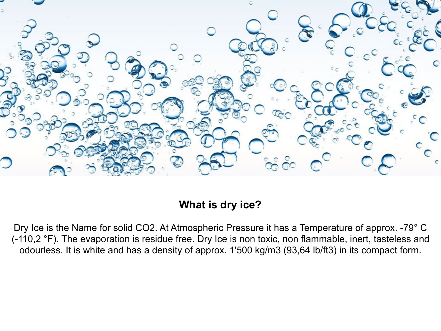

## **What is dry ice?**

Dry Ice is the Name for solid CO2. At Atmospheric Pressure it has a Temperature of approx. -79° C (-110,2 °F). The evaporation is residue free. Dry Ice is non toxic, non flammable, inert, tasteless and odourless. It is white and has a density of approx. 1'500 kg/m3 (93,64 lb/ft3) in its compact form.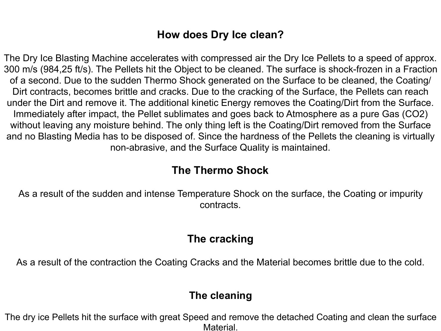### **How does Dry Ice clean?**

The Dry Ice Blasting Machine accelerates with compressed air the Dry Ice Pellets to a speed of approx. 300 m/s (984,25 ft/s). The Pellets hit the Object to be cleaned. The surface is shock-frozen in a Fraction of a second. Due to the sudden Thermo Shock generated on the Surface to be cleaned, the Coating/ Dirt contracts, becomes brittle and cracks. Due to the cracking of the Surface, the Pellets can reach under the Dirt and remove it. The additional kinetic Energy removes the Coating/Dirt from the Surface. Immediately after impact, the Pellet sublimates and goes back to Atmosphere as a pure Gas (CO2) without leaving any moisture behind. The only thing left is the Coating/Dirt removed from the Surface and no Blasting Media has to be disposed of. Since the hardness of the Pellets the cleaning is virtually non-abrasive, and the Surface Quality is maintained.

#### **The Thermo Shock**

As a result of the sudden and intense Temperature Shock on the surface, the Coating or impurity contracts.

#### **The cracking**

As a result of the contraction the Coating Cracks and the Material becomes brittle due to the cold.

#### **The cleaning**

The dry ice Pellets hit the surface with great Speed and remove the detached Coating and clean the surface Material.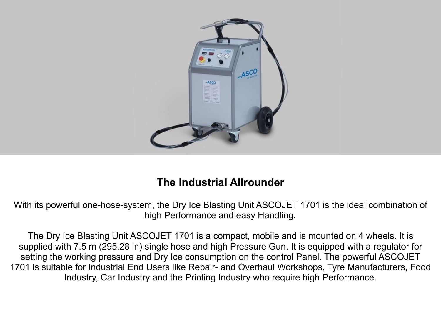

## **The Industrial Allrounder**

With its powerful one-hose-system, the Dry Ice Blasting Unit ASCOJET 1701 is the ideal combination of high Performance and easy Handling.

The Dry Ice Blasting Unit ASCOJET 1701 is a compact, mobile and is mounted on 4 wheels. It is supplied with 7.5 m (295.28 in) single hose and high Pressure Gun. It is equipped with a regulator for setting the working pressure and Dry Ice consumption on the control Panel. The powerful ASCOJET 1701 is suitable for Industrial End Users like Repair- and Overhaul Workshops, Tyre Manufacturers, Food Industry, Car Industry and the Printing Industry who require high Performance.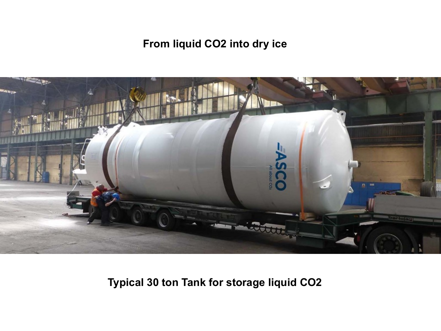# **From liquid CO2 into dry ice**



**Typical 30 ton Tank for storage liquid CO2**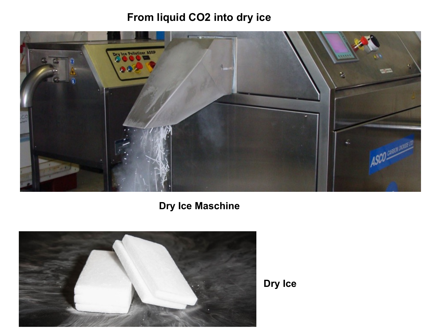# **From liquid CO2 into dry ice**



**Dry Ice Maschine**